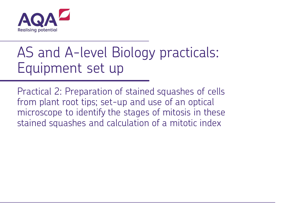

## AS and A-level Biology practicals: Equipment set up

Practical 2: Preparation of stained squashes of cells from plant root tips; set-up and use of an optical microscope to identify the stages of mitosis in these stained squashes and calculation of a mitotic index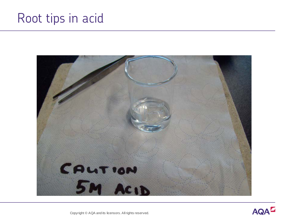## Root tips in acid





Copyright © AQA and its licensors. All rights reserved.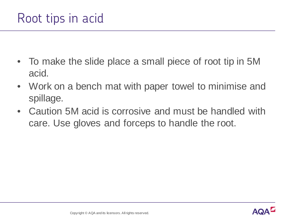- To make the slide place a small piece of root tip in 5M acid.
- Work on a bench mat with paper towel to minimise and spillage.
- Caution 5M acid is corrosive and must be handled with care. Use gloves and forceps to handle the root.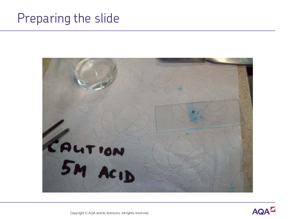## Preparing the slide





Copyright © AQA and its licensors. All rights reserved.